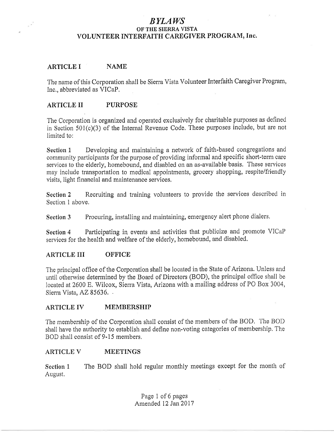## BYLAWS OF THE SIERRA VISTA VOLUNTEER INTERFAITH CAREGIVER PROGRAM, Inc.

#### ARTICLE I NAME

The name of this Corporation shall be Sierra Vista Volunteer Interfaith Caregiver Program, Inc,, abbreviated as VICaP,

#### ARTICLE II PURPOSE

The Corporation is organized and operated exclusively for charitable purposes as defined in Section 501(c)(3) of the Internal Revenue Code, These purposes include, but are not limited to:

Section 1 Developing and maintaining a network of faith-based congregations and community participants for the purpose of providing informal and specific short-tetm care services to the elderly, homebound, and disabled on an as-availabie basis, These services may include transportation to medical appointments, grocery shopping, respite/friendly visits, light financial and maintenance services,

Section 2 Recruiting and training volunteers to provide the services described in Section 1 above,

Section 3 Procuring, installing and maintaining, emergency alert phone dialers.

Section 4 Participating in events and activities that publicize and promote VICaP services for the health and welfare of the elderly, homebound, and disabled,

#### ARTICLE III OFFICE

The principal offrce of the Corporation shall be looated in the State of Arizona, Unless and until otherwise determined by the Board of Directors (BOD), the principal office shall be located at 2600 E. Wilcox, Sierra Vista, Arizona with a mailing address of PO Box 3004, Sierra Vista, AZ 85636.

#### ARTICLE IV MEMBERSHIP

The membership of the Corporation shall consist of the members of the BOD, The BOD shall have the authority to establish and define non-voting categories of membership, The BOD shall consist of 9-15 members,

#### ARTICLE V MEETINGS

Section 1 The BOD shall hold regular monthly meetings except for the month of August,

> Page 1 of 6 pages Amended 12 Jan 2017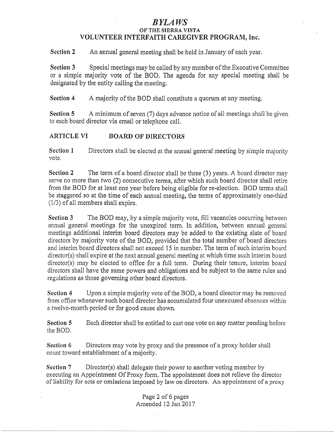# BYLAI|/S

#### OF THE SIERRA VISTA VOLUNTEER INTERFAITH CAREGIVER PROGRAM, Inc.

Section 2 An annual general meeting shall be held in January of each year,

Section 3 Special meetings may be called by any member of the Executive Committee or a simple majority vote of the BOD. The agenda for any special meeting shall be designated by the entity calling the meeting.

Section 4 A majority of the BOD shall constitute a quorum at any meeting.

Section 5 A minimum of seven (7) days advance notice of all meetings shall be given to each board director via email or telephone call,

## ARTICLE VI BOARD OF DIRECTORS

Section 1 Directors shall be elected at the annual general meeting by simple majority vote,

Section 2 The term of a board director shall be three (3) years, A board director may serye no more than two (2) consecutive terms, after which such board director shall retire from the BOD for at least one year before being eligible for re-eiection, BOD terms shall be staggered so at the time of each annual meeting, the terms of approximately one-third  $(1/3)$  of all members shall expire,

Section 3 The BOD may, by a simple majority vote, fill vacancies occurring between annual general meetings for the unexpired term, In addition, between annual general meetings additional interim board directors may be added to the existing slate of board directors by majority vote of the BOD, provided that the total number of board directors and interim board directors shall not exceed 15 in number, The term of such interim board director(s) shall expire at the next annual general meeting at whioh time such interim board director(s) may be elected to office for a full term, During their tenure, interim board directors shall have the same powers and obligations and be subject to the same rules and regulations as those governing other board directors.

Section 4 Upon a simple majority vote of the BOD, a board director may be removed from office whenever such board director has accumulated four unexcused absences within a twelve-month period or for good cause shown,

Section 5 Each director shall be entitled to cast one vote on any matter pending before the BOD,

Section 6 Directors may vote by proxy and the presence of a proxy holder shall count toward establishment of a majority.

Section 7 Director(s) shall delegate their power to another voting member by executing an Appointment Of Proxy form, The appointment does not relieve the director of liability for acts or omissions imposed by law on directors, An appointment of a proxy

> Page2 of 6 pages Amended 12 Jan 2017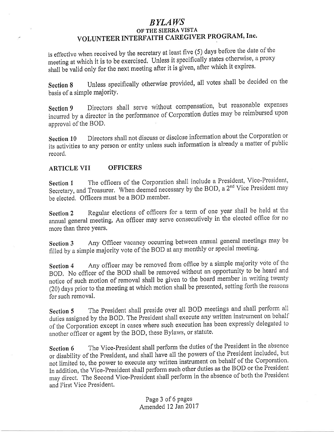# BYLAWS OF THE SIERRA VISTA VOLUNTEER INTERFAITH CAREGIVER PROGRAM, Inc.

is effective when received by the secretary at least five (5) days before the date of the meeting at which it is to be exercised. Unless it specifically states otherwise, a proxy shall be valid only for the next meeting after it is given, after which it expires.

Section 8 Unless specifically otherwise provided, all votes shall be decided on the basis of a simple majority.

Section 9 Directors shall serve without compensation, but reasonable expenses incurred by a director in the performance of Corporation duties may be reimbursed upon approval of the BOD,

Section l0 Directors shall not discuss or disclose information about the Corporation or its activities to any person or entity unless such information is already a matter of public record,

#### ARTICLE VII OFFICERS

Section 1 The officers of the Corporation shall include a President, Vice-President, Secretary, and Treasurer. When deemed necessary by the BOD, a 2<sup>nd</sup> Vice President may be elected, Officers must be a BOD member.

Section 2 Regular elections of officers for a term of one year shall be held at the annual general meeting, An officer may serye consecutively in the elected office for no more than three Years,

Section 3 Any Officer vacancy occurring between annual general meetings may be filled by a simple majority vote of ihe BOD at any monthly or special meeting'

Section 4 Any officer may be removed from office by a simple majority vote of the BOD, No officer of the BOD shall be removed without an opportunity to be heard and notice of such motion of removal shall be given to the board member in writing twenty (20) days prior to the meeting at which motion shall be presented, setting forth the reasons for such removal,

Section 5 The President shall preside over all BOD meetings and shall perform all duties assigned by the BOD, The President shall execute any written instrument on behalf of the Corporation except in cases where such execution has been expressly delegated to another officer or agent by the BOD, these Bylaws, or statute.

Section 6 The Vice-President shall perform the duties of the President in the absence or disability of the president, and shall have all the powors of the President included, but not limited to, the power to execute any written instrument on behalf of the Corporation. In addition, the Vice-President shall perform such other duties as the BOD or the President may direct. The Second Vice-President shall perform in the absence of both the President and First Vioe President.

> Page 3 of 6 pages Amended 12 Jan 2017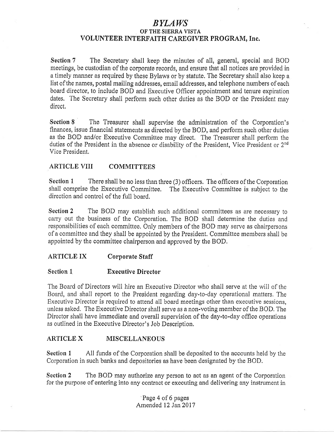# BYLAWS

#### OF'THE SIERRA VISTA VOLUNTEER INTERFAITH CAREGIVER PROGRAM, Inc.

Section 7 The Secretary shall keep the minutes of all, general, special and BOD meetings, be custodian of the corporate records, and ensure that all notices are provided in a timely manner as required by these Bylaws or by statute, The Secretary shall also keep a list of the names, postal mailing addresses, email addresses, and telephone numbers of each board director, to include BOD and Executive Officer appointment and tenure expiration dates, The Secretary shall perform such other duties as the BOD or the President may direct,

Section 8 The Treasurer shall supervise the administration of the Corporation's finances, issue financial statements as directed by the BOD, and perform such other duties as the BOD and/or Executive Committee may direct, The Treasurer shall perform the duties of the President in the absence or disability of the President, Vice President or 2<sup>nd</sup> Vice President,

#### ARTICLE VIII COMMITTEES

Section 1 There shall be no less than three (3) officers. The officers of the Corporation shall comprise the Executive Committee, The Executive Committee is subject to the direction and control of the full board.

Section 2 The BOD may establish such additional committees as are necessary to carry out the business of the Corporation, The BOD shall determine the duties and responsibilities of each committee. Only members of the BOD may serve as ohairpersons of a committee and they shall be appointed by the President, Committee members shall be appointed by the committee chairperson and approved by the BOD,

#### ARTICLE IX Corporate Staff

#### Section 1 Executive Director

The Board of Directors will hire an Executive Director who shall serve at the will of the Board, and shall report to the President regarding day-to-day operational matters. The Executive Director is required to attend all board meetings other than executive sessions, unless asked, The Executive Director shall serve as a non-voting member of the BOD, The Director shall have immediate and overall supervision of the day-to-day office operations as outlined in the Executive Director's Job Description,

## ARTICLE X MISCELLANEOUS

Section 1 All funds of the Corporation shall be deposited to the accounts held by the Corporation in such banks and depositories as have been designated by the BOD.

Section 2 The BOD may authorize any person to act as an agent of the Corporation for the purpose of entering into any contract or executing and delivering any instrument in

> Page 4 of 6 pages Amended 12 Jan20I7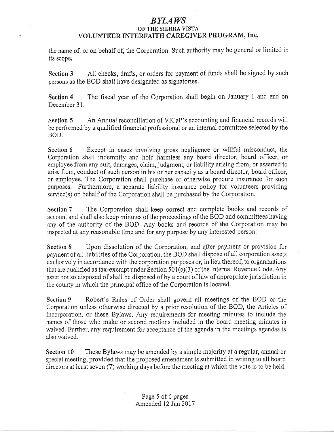# *BYLAWS*

# OF THE SIERRA VISTA<br>VOLUNTEER INTERFAITH CAREGIVER PROGRAM, Inc.

the name of, or on behalf of, the Corporation. Such authority may be general or limited in its scope,

Section 3 All checks, drafts, or orders for payment of funds shall be signed by such persons as the BOD shall have designated as signatories,

Section 4 The fiscal year of the Corporation shall begin on January 1 and end on December 31.

Section 5 An Annual reconciliation of VICaP's accounting and financial records will be performed by a qualified financial professional or an internal committee selected by the BOD.

Section 6 Except in cases involving gross negligence or willful misconduct, the Corporation shall indemnify and hold harmless any board director, board officer, or employee from any suit, damages, claim, judgment, or liability arising from, or asserted to arise from, conduct of such person in his or her capacity as a board director, board officer, or employee. The Corporation shall purchase or otherwise procure insurance for such purposes. Furthermore, a separate liability insurance policy for volunteers providing  $s$ ervice $(s)$  on behalf of the Corporation shall be purchased by the Corporation,

Section 7 The Corporation shall keep correct and complete books and records of account and shall also keep minutes of the proceedings of the BOD and committees having any of the authority of the BOD. Any books and records of the Corporation may be inspected at any reasonable time and for any purpose by any interested person,

Section 8 Upon dissolution of the Corporation, and after payment or provision for payment of all liabilities of the Corporation, the BOD shall dispose of all corporation assets exclusively in accordance with the corporation purposes or, in lieu thereof, to organizations that are qualified as tax-exempt under Section  $501(c)(3)$  of the Internal Revenue Code. Any asset not so disposed of shall be disposed of by a court of law of appropriate jurisdiction in the county in which the principal office of the Corporation is located,

Section 9 Robert's Rules of Order shall govern all meetings of the BOD or the Corporation unless otherwise directed by a prior resolution of the BOD, the Arlicles of Incorporation, or these Bylaws, Any requirements for meeting minutes to include the names of those who make or second motions included in the board meeting minutes is waived, Further, any requirement for acceptance of the agenda in the meetings agendas is also waived,

Section  $10$  These Bylaws may be amended by a simple majority at a regular, annual or special meeting, provided that the proposed amendment is submitted in writing to all board directors at least seven (7) working days before the meeting at which the vote is to be held,

> Page 5 of 6 pages Amended 12 Jan20I7